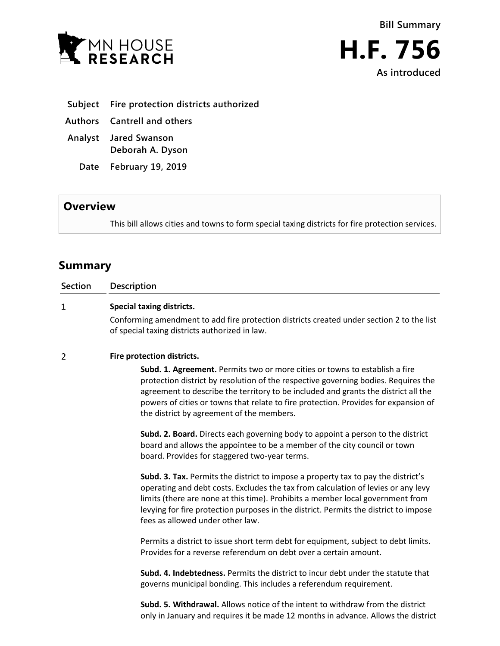



- **Subject Fire protection districts authorized**
- **Authors Cantrell and others**
- **Analyst Jared Swanson Deborah A. Dyson**
	- **Date February 19, 2019**

## **Overview**

This bill allows cities and towns to form special taxing districts for fire protection services.

## **Summary**

| <b>Section</b> | <b>Description</b>                                                                                                                                                                                                                                                                                                                                                                                 |
|----------------|----------------------------------------------------------------------------------------------------------------------------------------------------------------------------------------------------------------------------------------------------------------------------------------------------------------------------------------------------------------------------------------------------|
| 1              | <b>Special taxing districts.</b><br>Conforming amendment to add fire protection districts created under section 2 to the list<br>of special taxing districts authorized in law.                                                                                                                                                                                                                    |
| 2              | Fire protection districts.                                                                                                                                                                                                                                                                                                                                                                         |
|                | <b>Subd. 1. Agreement.</b> Permits two or more cities or towns to establish a fire<br>protection district by resolution of the respective governing bodies. Requires the<br>agreement to describe the territory to be included and grants the district all the<br>powers of cities or towns that relate to fire protection. Provides for expansion of<br>the district by agreement of the members. |
|                | Subd. 2. Board. Directs each governing body to appoint a person to the district<br>board and allows the appointee to be a member of the city council or town<br>board. Provides for staggered two-year terms.                                                                                                                                                                                      |
|                | Subd. 3. Tax. Permits the district to impose a property tax to pay the district's<br>operating and debt costs. Excludes the tax from calculation of levies or any levy<br>limits (there are none at this time). Prohibits a member local government from<br>levying for fire protection purposes in the district. Permits the district to impose<br>fees as allowed under other law.               |
|                | Permits a district to issue short term debt for equipment, subject to debt limits.                                                                                                                                                                                                                                                                                                                 |

**Subd. 4. Indebtedness.** Permits the district to incur debt under the statute that governs municipal bonding. This includes a referendum requirement.

Provides for a reverse referendum on debt over a certain amount.

**Subd. 5. Withdrawal.** Allows notice of the intent to withdraw from the district only in January and requires it be made 12 months in advance. Allows the district